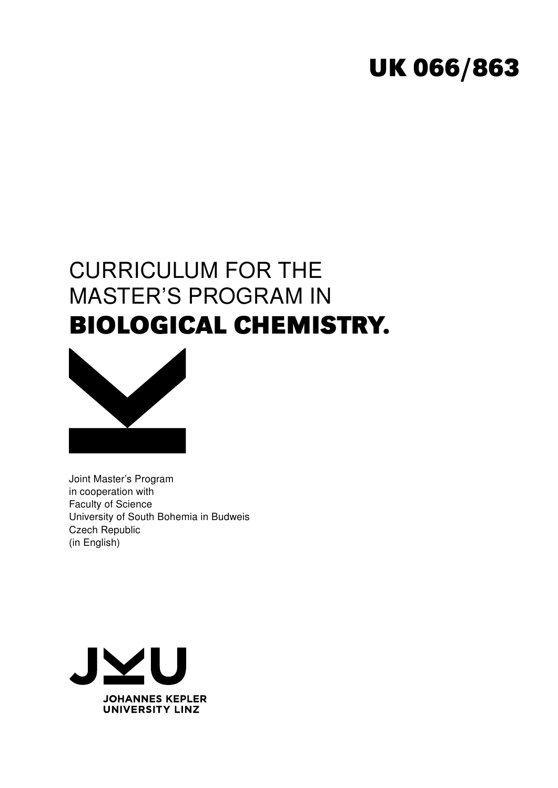# **UK 066/863**

# CURRICULUM FOR THE MASTER'S PROGRAM IN **BIOLOGICAL CHEMISTRY.**



Joint Master's Program in cooperation with Faculty of Science University of South Bohemia in Budweis Czech Republic (in English)

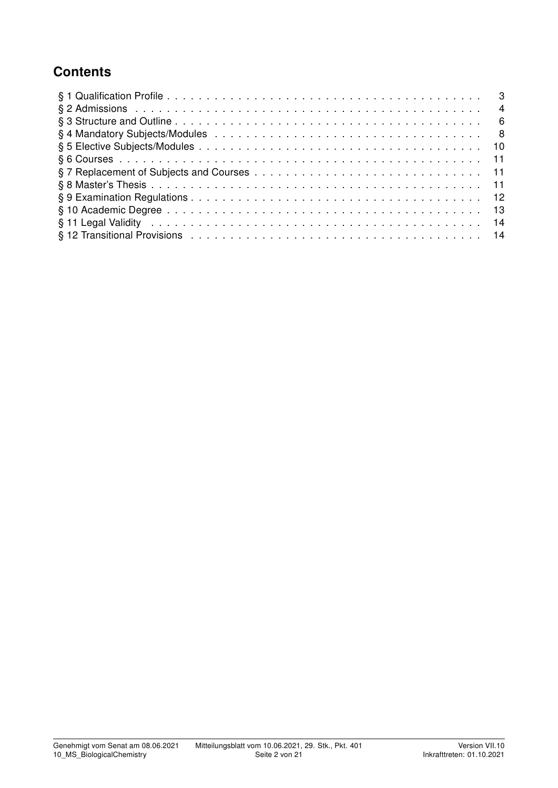## **Contents**

| $\overline{4}$ |  |
|----------------|--|
|                |  |
|                |  |
|                |  |
|                |  |
|                |  |
|                |  |
|                |  |
|                |  |
| -14            |  |
|                |  |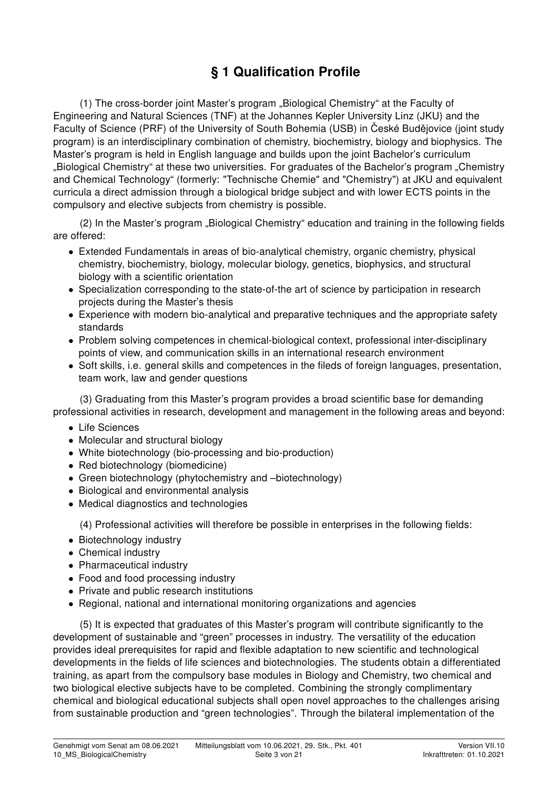# § 1 Qualification Profile

(1) The cross-border joint Master's program "Biological Chemistry" at the Faculty of Engineering and Natural Sciences (TNF) at the Johannes Kepler University Linz (JKU) and the Faculty of Science (PRF) of the University of South Bohemia (USB) in České Budějovice (joint study program) is an interdisciplinary combination of chemistry, biochemistry, biology and biophysics. The Master's program is held in English language and builds upon the joint Bachelor's curriculum "Biological Chemistry" at these two universities. For graduates of the Bachelor's program "Chemistry and Chemical Technology" (formerly: "Technische Chemie" and "Chemistry") at JKU and equivalent curricula a direct admission through a biological bridge subject and with lower ECTS points in the compulsory and elective subjects from chemistry is possible.

(2) In the Master's program "Biological Chemistry" education and training in the following fields are offered:

- Extended Fundamentals in areas of bio-analytical chemistry, organic chemistry, physical chemistry, biochemistry, biology, molecular biology, genetics, biophysics, and structural biology with a scientific orientation
- Specialization corresponding to the state-of-the art of science by participation in research projects during the Master's thesis
- Experience with modern bio-analytical and preparative techniques and the appropriate safety standards
- Problem solving competences in chemical-biological context, professional inter-disciplinary points of view, and communication skills in an international research environment
- Soft skills, i.e. general skills and competences in the fileds of foreign languages, presentation, team work, law and gender questions

(3) Graduating from this Master's program provides a broad scientific base for demanding professional activities in research, development and management in the following areas and beyond:

- Life Sciences
- Molecular and structural biology
- White biotechnology (bio-processing and bio-production)
- Red biotechnology (biomedicine)
- Green biotechnology (phytochemistry and –biotechnology)
- Biological and environmental analysis
- Medical diagnostics and technologies

(4) Professional activities will therefore be possible in enterprises in the following fields:

- Biotechnology industry
- Chemical industry
- Pharmaceutical industry
- Food and food processing industry
- Private and public research institutions
- Regional, national and international monitoring organizations and agencies

(5) It is expected that graduates of this Master's program will contribute significantly to the development of sustainable and "green" processes in industry. The versatility of the education provides ideal prerequisites for rapid and flexible adaptation to new scientific and technological developments in the fields of life sciences and biotechnologies. The students obtain a differentiated training, as apart from the compulsory base modules in Biology and Chemistry, two chemical and two biological elective subjects have to be completed. Combining the strongly complimentary chemical and biological educational subjects shall open novel approaches to the challenges arising from sustainable production and "green technologies". Through the bilateral implementation of the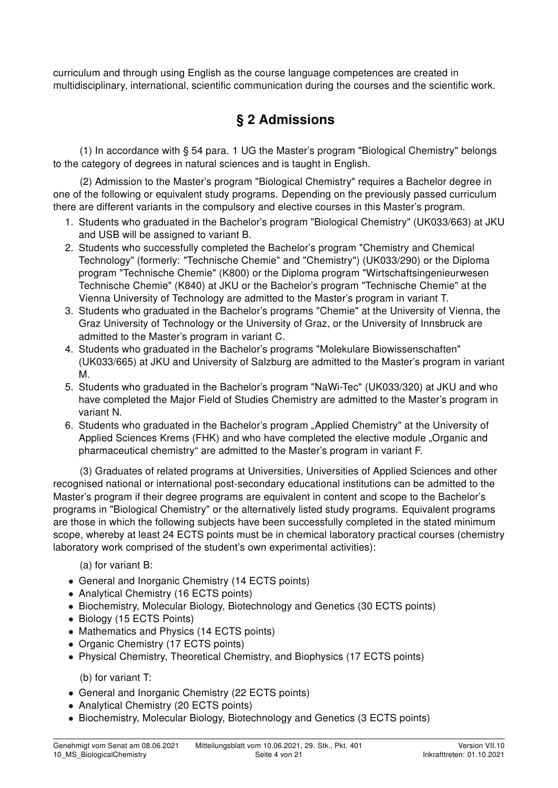curriculum and through using English as the course language competences are created in multidisciplinary, international, scientific communication during the courses and the scientific work.

#### § 2 Admissions

(1) In accordance with § 54 para. 1 UG the Master's program "Biological Chemistry" belongs to the category of degrees in natural sciences and is taught in English.

(2) Admission to the Master's program "Biological Chemistry" requires a Bachelor degree in one of the following or equivalent study programs. Depending on the previously passed curriculum there are different variants in the compulsory and elective courses in this Master's program.

- 1. Students who graduated in the Bachelor's program "Biological Chemistry" (UK033/663) at JKU and USB will be assigned to variant B.
- 2. Students who successfully completed the Bachelor's program "Chemistry and Chemical Technology" (formerly: "Technische Chemie" and "Chemistry") (UK033/290) or the Diploma program "Technische Chemie" (K800) or the Diploma program "Wirtschaftsingenieurwesen Technische Chemie" (K840) at JKU or the Bachelor's program "Technische Chemie" at the Vienna University of Technology are admitted to the Master's program in variant T.
- 3. Students who graduated in the Bachelor's programs "Chemie" at the University of Vienna, the Graz University of Technology or the University of Graz, or the University of Innsbruck are admitted to the Master's program in variant C.
- 4. Students who graduated in the Bachelor's programs "Molekulare Biowissenschaften" (UK033/665) at JKU and University of Salzburg are admitted to the Master's program in variant M.
- 5. Students who graduated in the Bachelor's program "NaWi-Tec" (UK033/320) at JKU and who have completed the Major Field of Studies Chemistry are admitted to the Master's program in variant N.
- 6. Students who graduated in the Bachelor's program "Applied Chemistry" at the University of Applied Sciences Krems (FHK) and who have completed the elective module "Organic and pharmaceutical chemistry" are admitted to the Master's program in variant F.

(3) Graduates of related programs at Universities, Universities of Applied Sciences and other recognised national or international post-secondary educational institutions can be admitted to the Master's program if their degree programs are equivalent in content and scope to the Bachelor's programs in "Biological Chemistry" or the alternatively listed study programs. Equivalent programs are those in which the following subjects have been successfully completed in the stated minimum scope, whereby at least 24 ECTS points must be in chemical laboratory practical courses (chemistry laboratory work comprised of the student's own experimental activities):

(a) for variant B:

- General and Inorganic Chemistry (14 ECTS points)
- Analytical Chemistry (16 ECTS points)
- Biochemistry, Molecular Biology, Biotechnology and Genetics (30 ECTS points)
- Biology (15 ECTS Points)
- Mathematics and Physics (14 ECTS points)
- Organic Chemistry (17 ECTS points)
- Physical Chemistry, Theoretical Chemistry, and Biophysics (17 ECTS points)

(b) for variant T:

- General and Inorganic Chemistry (22 ECTS points)
- Analytical Chemistry (20 ECTS points)
- Biochemistry, Molecular Biology, Biotechnology and Genetics (3 ECTS points)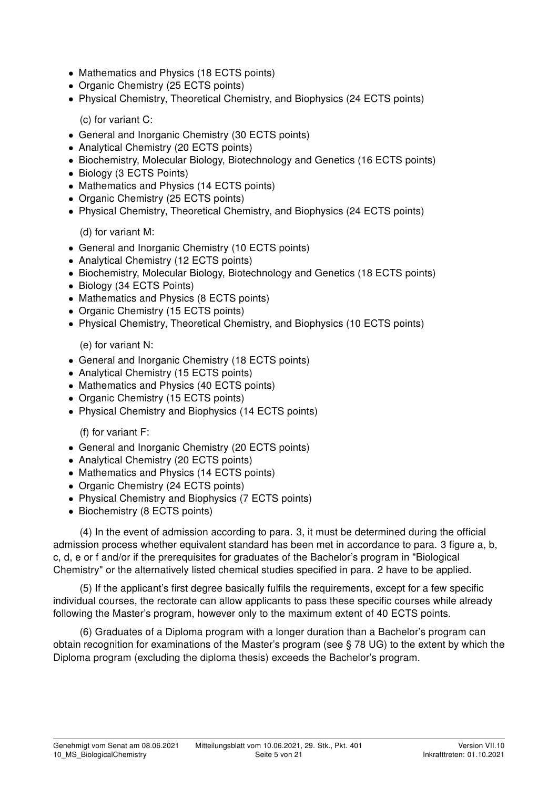- Mathematics and Physics (18 ECTS points)
- Organic Chemistry (25 ECTS points)
- Physical Chemistry, Theoretical Chemistry, and Biophysics (24 ECTS points)

(c) for variant C:

- General and Inorganic Chemistry (30 ECTS points)
- Analytical Chemistry (20 ECTS points)
- Biochemistry, Molecular Biology, Biotechnology and Genetics (16 ECTS points)
- Biology (3 ECTS Points)
- Mathematics and Physics (14 ECTS points)
- Organic Chemistry (25 ECTS points)
- Physical Chemistry, Theoretical Chemistry, and Biophysics (24 ECTS points)

(d) for variant M:

- General and Inorganic Chemistry (10 ECTS points)
- Analytical Chemistry (12 ECTS points)
- Biochemistry, Molecular Biology, Biotechnology and Genetics (18 ECTS points)
- Biology (34 ECTS Points)
- Mathematics and Physics (8 ECTS points)
- Organic Chemistry (15 ECTS points)
- Physical Chemistry, Theoretical Chemistry, and Biophysics (10 ECTS points)

(e) for variant N:

- General and Inorganic Chemistry (18 ECTS points)
- Analytical Chemistry (15 ECTS points)
- Mathematics and Physics (40 ECTS points)
- Organic Chemistry (15 ECTS points)
- Physical Chemistry and Biophysics (14 ECTS points)

(f) for variant F:

- General and Inorganic Chemistry (20 ECTS points)
- Analytical Chemistry (20 ECTS points)
- Mathematics and Physics (14 ECTS points)
- Organic Chemistry (24 ECTS points)
- Physical Chemistry and Biophysics (7 ECTS points)
- Biochemistry (8 ECTS points)

(4) In the event of admission according to para. 3, it must be determined during the official admission process whether equivalent standard has been met in accordance to para. 3 figure a, b, c, d, e or f and/or if the prerequisites for graduates of the Bachelor's program in "Biological Chemistry" or the alternatively listed chemical studies specified in para. 2 have to be applied.

(5) If the applicant's first degree basically fulfils the requirements, except for a few specific individual courses, the rectorate can allow applicants to pass these specific courses while already following the Master's program, however only to the maximum extent of 40 ECTS points.

(6) Graduates of a Diploma program with a longer duration than a Bachelor's program can obtain recognition for examinations of the Master's program (see § 78 UG) to the extent by which the Diploma program (excluding the diploma thesis) exceeds the Bachelor's program.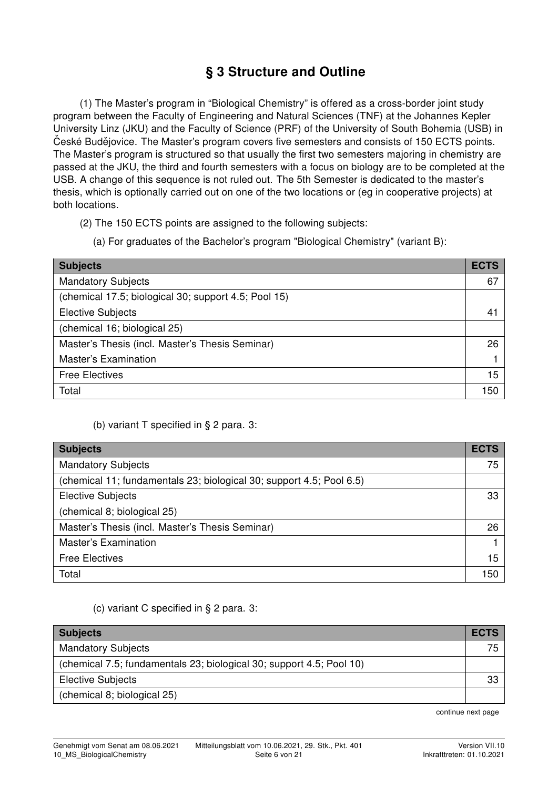### § 3 Structure and Outline

(1) The Master's program in "Biological Chemistry" is offered as a cross-border joint study program between the Faculty of Engineering and Natural Sciences (TNF) at the Johannes Kepler University Linz (JKU) and the Faculty of Science (PRF) of the University of South Bohemia (USB) in Ceské Budějovice. The Master's program covers five semesters and consists of 150 ECTS points. The Master's program is structured so that usually the first two semesters majoring in chemistry are passed at the JKU, the third and fourth semesters with a focus on biology are to be completed at the USB. A change of this sequence is not ruled out. The 5th Semester is dedicated to the master's thesis, which is optionally carried out on one of the two locations or (eg in cooperative projects) at both locations.

- (2) The 150 ECTS points are assigned to the following subjects:
	- (a) For graduates of the Bachelor's program "Biological Chemistry" (variant B):

| <b>Subjects</b>                                      | <b>ECTS</b> |
|------------------------------------------------------|-------------|
| <b>Mandatory Subjects</b>                            | 67          |
| (chemical 17.5; biological 30; support 4.5; Pool 15) |             |
| <b>Elective Subjects</b>                             | 41          |
| (chemical 16; biological 25)                         |             |
| Master's Thesis (incl. Master's Thesis Seminar)      | 26          |
| <b>Master's Examination</b>                          |             |
| <b>Free Electives</b>                                | 15          |
| Total                                                | 150         |

#### (b) variant T specified in § 2 para. 3:

| <b>Subjects</b>                                                      | <b>ECTS</b> |
|----------------------------------------------------------------------|-------------|
| <b>Mandatory Subjects</b>                                            | 75          |
| (chemical 11; fundamentals 23; biological 30; support 4.5; Pool 6.5) |             |
| <b>Elective Subjects</b>                                             | 33          |
| (chemical 8; biological 25)                                          |             |
| Master's Thesis (incl. Master's Thesis Seminar)                      | 26          |
| <b>Master's Examination</b>                                          |             |
| <b>Free Electives</b>                                                | 15          |
| Total                                                                | 150         |

(c) variant C specified in § 2 para. 3:

| <b>Subjects</b>                                                      | <b>ECTS</b> |
|----------------------------------------------------------------------|-------------|
| <b>Mandatory Subjects</b>                                            | 75.         |
| (chemical 7.5; fundamentals 23; biological 30; support 4.5; Pool 10) |             |
| <b>Elective Subjects</b>                                             | 33.         |
| (chemical 8; biological 25)                                          |             |

continue next page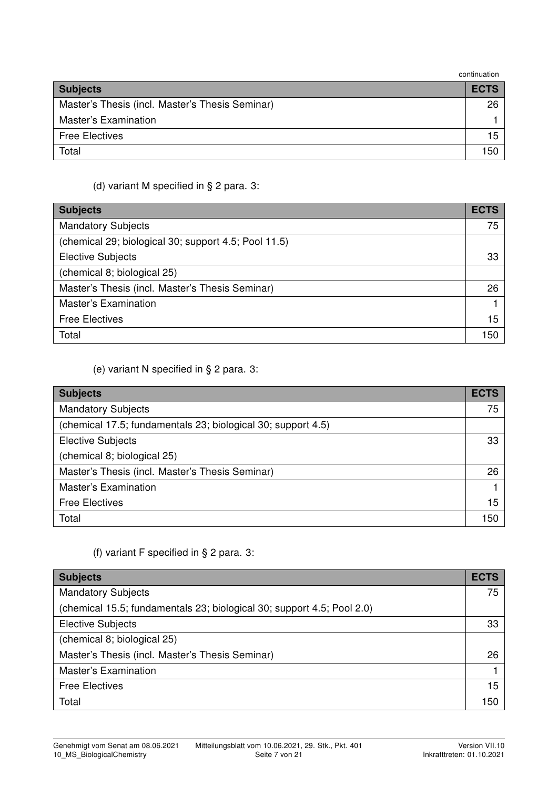| continuation |  |
|--------------|--|
|--------------|--|

| <u>vuiniuutivii</u>                             |             |
|-------------------------------------------------|-------------|
| <b>Subjects</b>                                 | <b>ECTS</b> |
| Master's Thesis (incl. Master's Thesis Seminar) | 26          |
| <b>Master's Examination</b>                     |             |
| <b>Free Electives</b>                           | 15          |
| Total                                           | 150         |

#### (d) variant M specified in § 2 para. 3:

| <b>Subjects</b>                                      | <b>ECTS</b> |
|------------------------------------------------------|-------------|
| <b>Mandatory Subjects</b>                            | 75          |
| (chemical 29; biological 30; support 4.5; Pool 11.5) |             |
| <b>Elective Subjects</b>                             | 33          |
| (chemical 8; biological 25)                          |             |
| Master's Thesis (incl. Master's Thesis Seminar)      | 26          |
| <b>Master's Examination</b>                          |             |
| <b>Free Electives</b>                                | 15          |
| Total                                                | 150         |

#### (e) variant N specified in § 2 para. 3:

| <b>Subjects</b>                                              | <b>ECTS</b> |
|--------------------------------------------------------------|-------------|
| <b>Mandatory Subjects</b>                                    | 75          |
| (chemical 17.5; fundamentals 23; biological 30; support 4.5) |             |
| <b>Elective Subjects</b>                                     | 33          |
| (chemical 8; biological 25)                                  |             |
| Master's Thesis (incl. Master's Thesis Seminar)              | 26          |
| <b>Master's Examination</b>                                  |             |
| <b>Free Electives</b>                                        | 15          |
| Total                                                        | 150         |

#### (f) variant F specified in § 2 para. 3:

| <b>Subjects</b>                                                        | <b>ECTS</b> |
|------------------------------------------------------------------------|-------------|
| <b>Mandatory Subjects</b>                                              | 75          |
| (chemical 15.5; fundamentals 23; biological 30; support 4.5; Pool 2.0) |             |
| <b>Elective Subjects</b>                                               | 33          |
| (chemical 8; biological 25)                                            |             |
| Master's Thesis (incl. Master's Thesis Seminar)                        | 26          |
| <b>Master's Examination</b>                                            |             |
| <b>Free Electives</b>                                                  | 15          |
| Total                                                                  | 150         |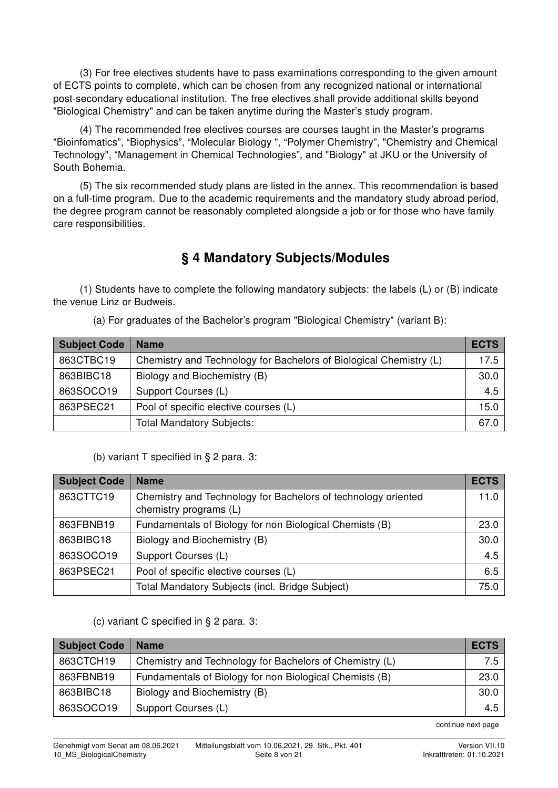(3) For free electives students have to pass examinations corresponding to the given amount of ECTS points to complete, which can be chosen from any recognized national or international post-secondary educational institution. The free electives shall provide additional skills beyond "Biological Chemistry" and can be taken anytime during the Master's study program.

(4) The recommended free electives courses are courses taught in the Master's programs "Bioinfomatics", "Biophysics", "Molecular Biology ", "Polymer Chemistry", "Chemistry and Chemical Technology", "Management in Chemical Technologies", and "Biology" at JKU or the University of South Bohemia.

(5) The six recommended study plans are listed in the annex. This recommendation is based on a full-time program. Due to the academic requirements and the mandatory study abroad period, the degree program cannot be reasonably completed alongside a job or for those who have family care responsibilities.

### § 4 Mandatory Subjects/Modules

(1) Students have to complete the following mandatory subjects: the labels (L) or (B) indicate the venue Linz or Budweis.

(a) For graduates of the Bachelor's program "Biological Chemistry" (variant B):

| <b>Subject Code</b> | <b>Name</b>                                                        | <b>ECTS</b> |
|---------------------|--------------------------------------------------------------------|-------------|
| 863CTBC19           | Chemistry and Technology for Bachelors of Biological Chemistry (L) | 17.5        |
| 863BIBC18           | Biology and Biochemistry (B)                                       | 30.0        |
| 863SOCO19           | Support Courses (L)                                                | 4.5         |
| 863PSEC21           | Pool of specific elective courses (L)                              | 15.0        |
|                     | <b>Total Mandatory Subjects:</b>                                   | 67.0        |

(b) variant T specified in § 2 para. 3:

| <b>Subject Code</b> | <b>Name</b>                                                                             | <b>ECTS</b> |
|---------------------|-----------------------------------------------------------------------------------------|-------------|
| 863CTTC19           | Chemistry and Technology for Bachelors of technology oriented<br>chemistry programs (L) | 11.0        |
| 863FBNB19           | Fundamentals of Biology for non Biological Chemists (B)                                 | 23.0        |
| 863BIBC18           | Biology and Biochemistry (B)                                                            | 30.0        |
| 863SOCO19           | Support Courses (L)                                                                     | 4.5         |
| 863PSEC21           | Pool of specific elective courses (L)                                                   | 6.5         |
|                     | Total Mandatory Subjects (incl. Bridge Subject)                                         | 75.0        |

#### (c) variant C specified in § 2 para. 3:

| <b>Subject Code</b> | <b>Name</b>                                             | <b>ECTS</b> |
|---------------------|---------------------------------------------------------|-------------|
| 863CTCH19           | Chemistry and Technology for Bachelors of Chemistry (L) | 7.5 I       |
| 863FBNB19           | Fundamentals of Biology for non Biological Chemists (B) | 23.0        |
| 863BIBC18           | Biology and Biochemistry (B)                            | 30.0        |
| 863SOCO19           | Support Courses (L)                                     | 4.5         |

continue next page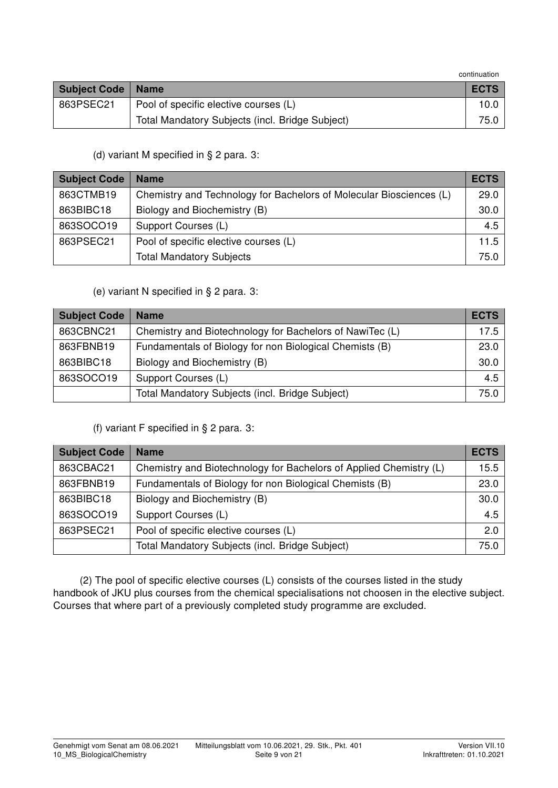continuation

| <b>Subject Code   Name</b> |                                                 | <b>ECTS</b> |
|----------------------------|-------------------------------------------------|-------------|
| 863PSEC21                  | Pool of specific elective courses (L)           | 10.C        |
|                            | Total Mandatory Subjects (incl. Bridge Subject) | 75.0        |

(d) variant M specified in § 2 para. 3:

| <b>Subject Code</b> | <b>Name</b>                                                         | <b>ECTS</b> |
|---------------------|---------------------------------------------------------------------|-------------|
| 863CTMB19           | Chemistry and Technology for Bachelors of Molecular Biosciences (L) | 29.0        |
| 863BIBC18           | Biology and Biochemistry (B)                                        | 30.0        |
| 863SOCO19           | Support Courses (L)                                                 | 4.5         |
| 863PSEC21           | Pool of specific elective courses (L)                               | 11.5        |
|                     | <b>Total Mandatory Subjects</b>                                     | 75.0        |

(e) variant N specified in § 2 para. 3:

| <b>Subject Code</b> | <b>Name</b>                                              | <b>ECTS</b> |
|---------------------|----------------------------------------------------------|-------------|
| 863CBNC21           | Chemistry and Biotechnology for Bachelors of NawiTec (L) | 17.5        |
| 863FBNB19           | Fundamentals of Biology for non Biological Chemists (B)  | 23.0        |
| 863BIBC18           | Biology and Biochemistry (B)                             | 30.0        |
| 863SOCO19           | Support Courses (L)                                      | 4.5         |
|                     | Total Mandatory Subjects (incl. Bridge Subject)          | 75.0        |

#### (f) variant F specified in § 2 para. 3:

| <b>Subject Code</b> | <b>Name</b>                                                        | <b>ECTS</b> |
|---------------------|--------------------------------------------------------------------|-------------|
| 863CBAC21           | Chemistry and Biotechnology for Bachelors of Applied Chemistry (L) | 15.5        |
| 863FBNB19           | Fundamentals of Biology for non Biological Chemists (B)            | 23.0        |
| 863BIBC18           | Biology and Biochemistry (B)                                       | 30.0        |
| 863SOCO19           | Support Courses (L)                                                | 4.5         |
| 863PSEC21           | Pool of specific elective courses (L)                              | 2.0         |
|                     | Total Mandatory Subjects (incl. Bridge Subject)                    | 75.0        |

(2) The pool of specific elective courses (L) consists of the courses listed in the study handbook of JKU plus courses from the chemical specialisations not choosen in the elective subject. Courses that where part of a previously completed study programme are excluded.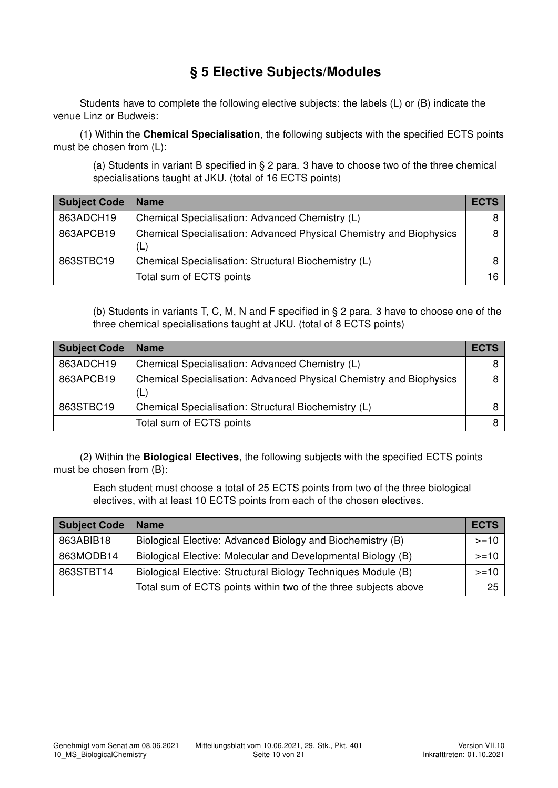### § 5 Elective Subjects/Modules

Students have to complete the following elective subjects: the labels (L) or (B) indicate the venue Linz or Budweis:

(1) Within the Chemical Specialisation, the following subjects with the specified ECTS points must be chosen from (L):

(a) Students in variant B specified in § 2 para. 3 have to choose two of the three chemical specialisations taught at JKU. (total of 16 ECTS points)

| <b>Subject Code</b> | <b>Name</b>                                                                | <b>ECTS</b> |
|---------------------|----------------------------------------------------------------------------|-------------|
| 863ADCH19           | Chemical Specialisation: Advanced Chemistry (L)                            |             |
| 863APCB19           | Chemical Specialisation: Advanced Physical Chemistry and Biophysics<br>(L) |             |
| 863STBC19           | Chemical Specialisation: Structural Biochemistry (L)                       |             |
|                     | Total sum of ECTS points                                                   | 16.         |

(b) Students in variants T, C, M, N and F specified in § 2 para. 3 have to choose one of the three chemical specialisations taught at JKU. (total of 8 ECTS points)

| <b>Subject Code</b> | <b>Name</b>                                                                | <b>ECTS</b> |
|---------------------|----------------------------------------------------------------------------|-------------|
| 863ADCH19           | Chemical Specialisation: Advanced Chemistry (L)                            |             |
| 863APCB19           | Chemical Specialisation: Advanced Physical Chemistry and Biophysics<br>(L) | 8           |
| 863STBC19           | Chemical Specialisation: Structural Biochemistry (L)                       |             |
|                     | Total sum of ECTS points                                                   | 8           |

(2) Within the Biological Electives, the following subjects with the specified ECTS points must be chosen from (B):

Each student must choose a total of 25 ECTS points from two of the three biological electives, with at least 10 ECTS points from each of the chosen electives.

| <b>Subject Code</b> | <b>Name</b>                                                     | <b>ECTS</b> |
|---------------------|-----------------------------------------------------------------|-------------|
| 863ABIB18           | Biological Elective: Advanced Biology and Biochemistry (B)      | $>=10$      |
| 863MODB14           | Biological Elective: Molecular and Developmental Biology (B)    | $>=10$      |
| 863STBT14           | Biological Elective: Structural Biology Techniques Module (B)   | $>=10$      |
|                     | Total sum of ECTS points within two of the three subjects above | 25          |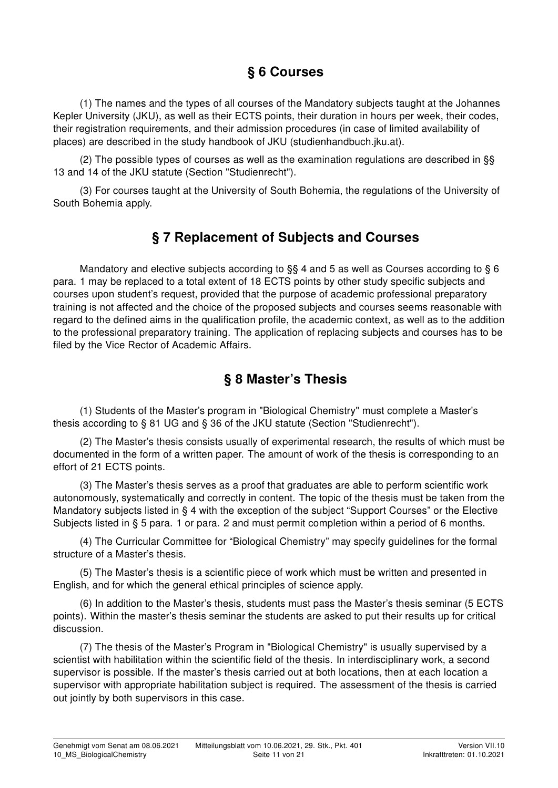## § 6 Courses

(1) The names and the types of all courses of the Mandatory subjects taught at the Johannes Kepler University (JKU), as well as their ECTS points, their duration in hours per week, their codes, their registration requirements, and their admission procedures (in case of limited availability of places) are described in the study handbook of JKU (studienhandbuch.jku.at).

(2) The possible types of courses as well as the examination regulations are described in §§ 13 and 14 of the JKU statute (Section "Studienrecht").

(3) For courses taught at the University of South Bohemia, the regulations of the University of South Bohemia apply.

#### § 7 Replacement of Subjects and Courses

Mandatory and elective subjects according to §§ 4 and 5 as well as Courses according to § 6 para. 1 may be replaced to a total extent of 18 ECTS points by other study specific subjects and courses upon student's request, provided that the purpose of academic professional preparatory training is not affected and the choice of the proposed subjects and courses seems reasonable with regard to the defined aims in the qualification profile, the academic context, as well as to the addition to the professional preparatory training. The application of replacing subjects and courses has to be filed by the Vice Rector of Academic Affairs.

#### § 8 Master's Thesis

(1) Students of the Master's program in "Biological Chemistry" must complete a Master's thesis according to § 81 UG and § 36 of the JKU statute (Section "Studienrecht").

(2) The Master's thesis consists usually of experimental research, the results of which must be documented in the form of a written paper. The amount of work of the thesis is corresponding to an effort of 21 ECTS points.

(3) The Master's thesis serves as a proof that graduates are able to perform scientific work autonomously, systematically and correctly in content. The topic of the thesis must be taken from the Mandatory subjects listed in § 4 with the exception of the subject "Support Courses" or the Elective Subjects listed in § 5 para. 1 or para. 2 and must permit completion within a period of 6 months.

(4) The Curricular Committee for "Biological Chemistry" may specify guidelines for the formal structure of a Master's thesis.

(5) The Master's thesis is a scientific piece of work which must be written and presented in English, and for which the general ethical principles of science apply.

(6) In addition to the Master's thesis, students must pass the Master's thesis seminar (5 ECTS points). Within the master's thesis seminar the students are asked to put their results up for critical discussion.

(7) The thesis of the Master's Program in "Biological Chemistry" is usually supervised by a scientist with habilitation within the scientific field of the thesis. In interdisciplinary work, a second supervisor is possible. If the master's thesis carried out at both locations, then at each location a supervisor with appropriate habilitation subject is required. The assessment of the thesis is carried out jointly by both supervisors in this case.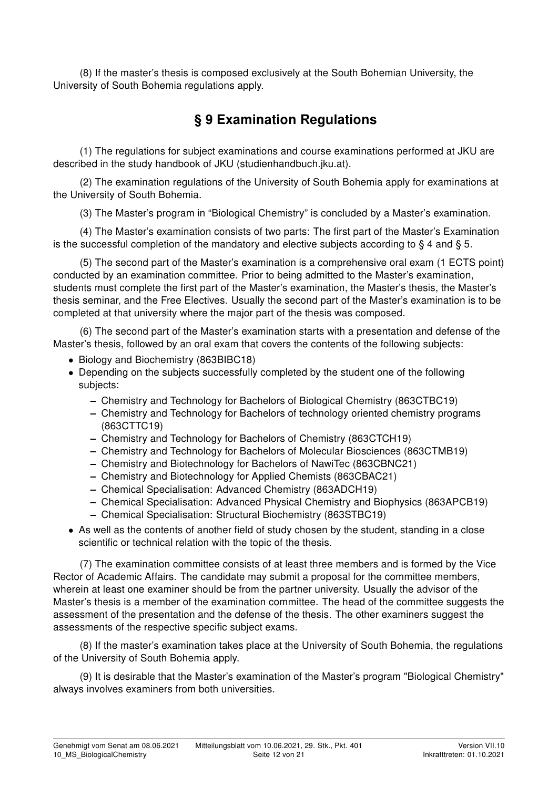(8) If the master's thesis is composed exclusively at the South Bohemian University, the University of South Bohemia regulations apply.

## § 9 Examination Regulations

(1) The regulations for subject examinations and course examinations performed at JKU are described in the study handbook of JKU (studienhandbuch.jku.at).

(2) The examination regulations of the University of South Bohemia apply for examinations at the University of South Bohemia.

(3) The Master's program in "Biological Chemistry" is concluded by a Master's examination.

(4) The Master's examination consists of two parts: The first part of the Master's Examination is the successful completion of the mandatory and elective subjects according to  $\S 4$  and  $\S 5$ .

(5) The second part of the Master's examination is a comprehensive oral exam (1 ECTS point) conducted by an examination committee. Prior to being admitted to the Master's examination, students must complete the first part of the Master's examination, the Master's thesis, the Master's thesis seminar, and the Free Electives. Usually the second part of the Master's examination is to be completed at that university where the major part of the thesis was composed.

(6) The second part of the Master's examination starts with a presentation and defense of the Master's thesis, followed by an oral exam that covers the contents of the following subjects:

- Biology and Biochemistry (863BIBC18)
- Depending on the subjects successfully completed by the student one of the following subjects:
	- Chemistry and Technology for Bachelors of Biological Chemistry (863CTBC19)
	- Chemistry and Technology for Bachelors of technology oriented chemistry programs (863CTTC19)
	- Chemistry and Technology for Bachelors of Chemistry (863CTCH19)
	- Chemistry and Technology for Bachelors of Molecular Biosciences (863CTMB19)
	- Chemistry and Biotechnology for Bachelors of NawiTec (863CBNC21)
	- Chemistry and Biotechnology for Applied Chemists (863CBAC21)
	- Chemical Specialisation: Advanced Chemistry (863ADCH19)
	- Chemical Specialisation: Advanced Physical Chemistry and Biophysics (863APCB19)
	- Chemical Specialisation: Structural Biochemistry (863STBC19)
- As well as the contents of another field of study chosen by the student, standing in a close scientific or technical relation with the topic of the thesis.

(7) The examination committee consists of at least three members and is formed by the Vice Rector of Academic Affairs. The candidate may submit a proposal for the committee members, wherein at least one examiner should be from the partner university. Usually the advisor of the Master's thesis is a member of the examination committee. The head of the committee suggests the assessment of the presentation and the defense of the thesis. The other examiners suggest the assessments of the respective specific subject exams.

(8) If the master's examination takes place at the University of South Bohemia, the regulations of the University of South Bohemia apply.

(9) It is desirable that the Master's examination of the Master's program "Biological Chemistry" always involves examiners from both universities.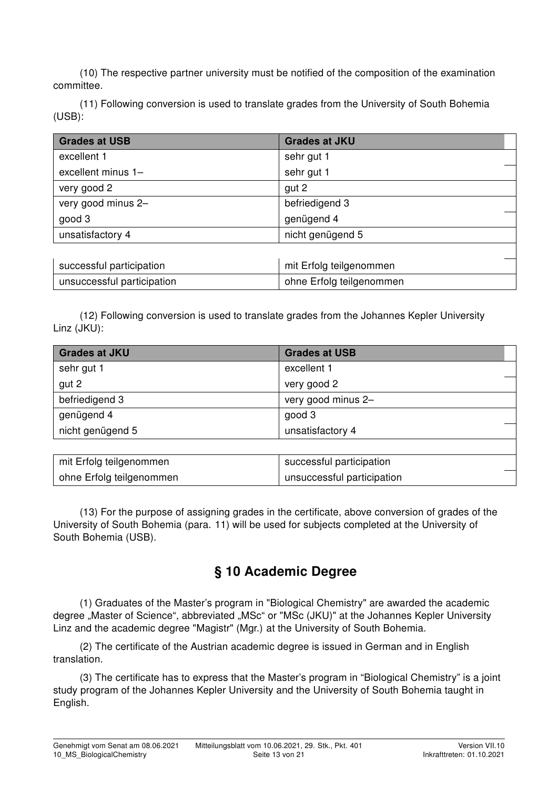(10) The respective partner university must be notified of the composition of the examination committee.

(11) Following conversion is used to translate grades from the University of South Bohemia (USB):

| <b>Grades at USB</b>       | <b>Grades at JKU</b>     |  |  |  |  |
|----------------------------|--------------------------|--|--|--|--|
| excellent 1                | sehr gut 1               |  |  |  |  |
| excellent minus 1-         | sehr gut 1               |  |  |  |  |
| very good 2                | gut 2                    |  |  |  |  |
| very good minus 2-         | befriedigend 3           |  |  |  |  |
| good 3                     | genügend 4               |  |  |  |  |
| unsatisfactory 4           | nicht genügend 5         |  |  |  |  |
|                            |                          |  |  |  |  |
| successful participation   | mit Erfolg teilgenommen  |  |  |  |  |
| unsuccessful participation | ohne Erfolg teilgenommen |  |  |  |  |

(12) Following conversion is used to translate grades from the Johannes Kepler University Linz (JKU):

| <b>Grades at JKU</b>    | <b>Grades at USB</b>     |  |
|-------------------------|--------------------------|--|
| sehr gut 1              | excellent 1              |  |
| gut 2                   | very good 2              |  |
| befriedigend 3          | very good minus 2-       |  |
| genügend 4              | good 3                   |  |
| nicht genügend 5        | unsatisfactory 4         |  |
|                         |                          |  |
| mit Erfolg teilgenommen | successful participation |  |

(13) For the purpose of assigning grades in the certificate, above conversion of grades of the University of South Bohemia (para. 11) will be used for subjects completed at the University of South Bohemia (USB).

ohne Erfolg teilgenommen und unsuccessful participation

#### § 10 Academic Degree

(1) Graduates of the Master's program in "Biological Chemistry" are awarded the academic degree "Master of Science", abbreviated "MSc" or "MSc (JKU)" at the Johannes Kepler University Linz and the academic degree "Magistr" (Mgr.) at the University of South Bohemia.

(2) The certificate of the Austrian academic degree is issued in German and in English translation.

(3) The certificate has to express that the Master's program in "Biological Chemistry" is a joint study program of the Johannes Kepler University and the University of South Bohemia taught in English.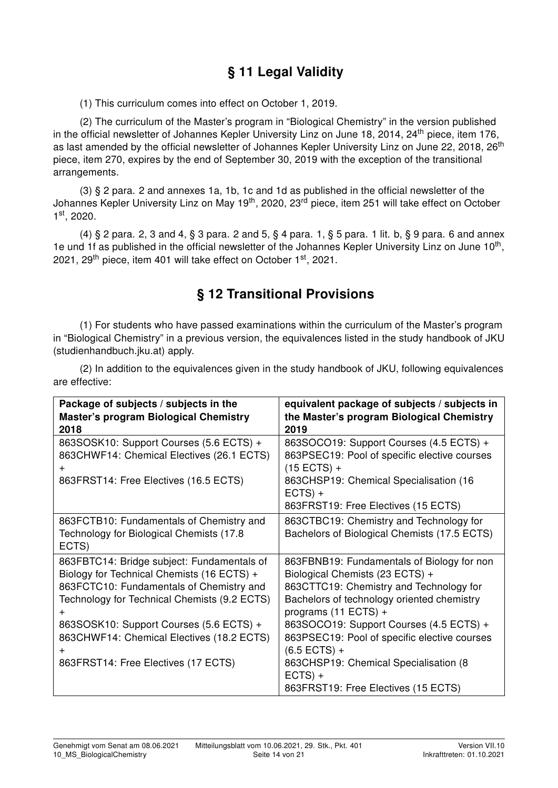# § 11 Legal Validity

(1) This curriculum comes into effect on October 1, 2019.

(2) The curriculum of the Master's program in "Biological Chemistry" in the version published in the official newsletter of Johannes Kepler University Linz on June 18, 2014, 24<sup>th</sup> piece, item 176, as last amended by the official newsletter of Johannes Kepler University Linz on June 22, 2018, 26<sup>th</sup> piece, item 270, expires by the end of September 30, 2019 with the exception of the transitional arrangements.

(3) § 2 para. 2 and annexes 1a, 1b, 1c and 1d as published in the official newsletter of the Johannes Kepler University Linz on May 19<sup>th</sup>, 2020, 23<sup>rd</sup> piece, item 251 will take effect on October 1 st, 2020.

(4) § 2 para. 2, 3 and 4, § 3 para. 2 and 5, § 4 para. 1, § 5 para. 1 lit. b, § 9 para. 6 and annex 1e und 1f as published in the official newsletter of the Johannes Kepler University Linz on June 10<sup>th</sup>, 2021, 29<sup>th</sup> piece, item 401 will take effect on October 1<sup>st</sup>, 2021.

## § 12 Transitional Provisions

(1) For students who have passed examinations within the curriculum of the Master's program in "Biological Chemistry" in a previous version, the equivalences listed in the study handbook of JKU (studienhandbuch.jku.at) apply.

(2) In addition to the equivalences given in the study handbook of JKU, following equivalences are effective:

| Package of subjects / subjects in the<br><b>Master's program Biological Chemistry</b><br>2018                                                                                                                                                                                                                                | equivalent package of subjects / subjects in<br>the Master's program Biological Chemistry<br>2019                                                                                                                                                                                                                                                                                                          |
|------------------------------------------------------------------------------------------------------------------------------------------------------------------------------------------------------------------------------------------------------------------------------------------------------------------------------|------------------------------------------------------------------------------------------------------------------------------------------------------------------------------------------------------------------------------------------------------------------------------------------------------------------------------------------------------------------------------------------------------------|
| 863SOSK10: Support Courses (5.6 ECTS) +<br>863CHWF14: Chemical Electives (26.1 ECTS)<br>$\pm$<br>863FRST14: Free Electives (16.5 ECTS)                                                                                                                                                                                       | 863SOCO19: Support Courses (4.5 ECTS) +<br>863PSEC19: Pool of specific elective courses<br>$(15$ ECTS) +<br>863CHSP19: Chemical Specialisation (16<br>$ECTS) +$<br>863FRST19: Free Electives (15 ECTS)                                                                                                                                                                                                     |
| 863FCTB10: Fundamentals of Chemistry and<br>Technology for Biological Chemists (17.8)<br>ECTS)                                                                                                                                                                                                                               | 863CTBC19: Chemistry and Technology for<br>Bachelors of Biological Chemists (17.5 ECTS)                                                                                                                                                                                                                                                                                                                    |
| 863FBTC14: Bridge subject: Fundamentals of<br>Biology for Technical Chemists (16 ECTS) +<br>863FCTC10: Fundamentals of Chemistry and<br>Technology for Technical Chemists (9.2 ECTS)<br>$\pm$<br>863SOSK10: Support Courses (5.6 ECTS) +<br>863CHWF14: Chemical Electives (18.2 ECTS)<br>863FRST14: Free Electives (17 ECTS) | 863FBNB19: Fundamentals of Biology for non<br>Biological Chemists (23 ECTS) +<br>863CTTC19: Chemistry and Technology for<br>Bachelors of technology oriented chemistry<br>programs $(11$ ECTS) +<br>863SOCO19: Support Courses (4.5 ECTS) +<br>863PSEC19: Pool of specific elective courses<br>$(6.5$ ECTS) +<br>863CHSP19: Chemical Specialisation (8<br>$ECTS) +$<br>863FRST19: Free Electives (15 ECTS) |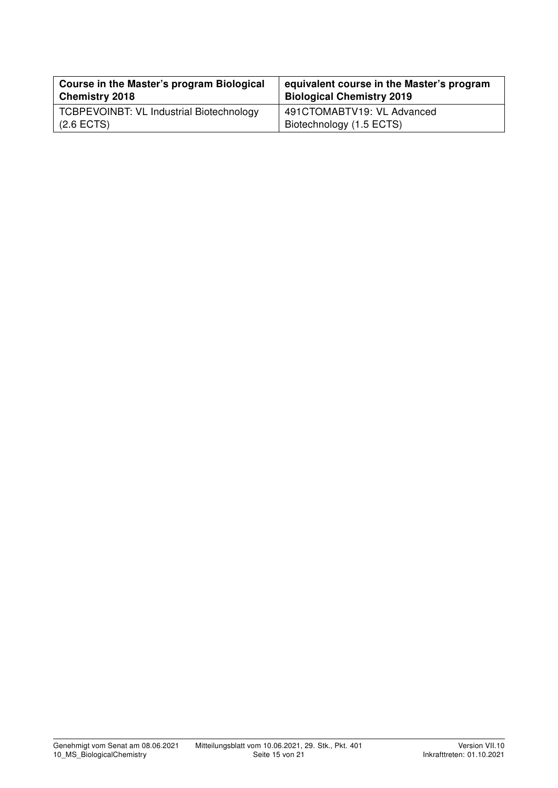| Course in the Master's program Biological       | equivalent course in the Master's program |
|-------------------------------------------------|-------------------------------------------|
| <b>Chemistry 2018</b>                           | <b>Biological Chemistry 2019</b>          |
| <b>TCBPEVOINBT: VL Industrial Biotechnology</b> | 491CTOMABTV19: VL Advanced                |
| $(2.6$ ECTS)                                    | Biotechnology (1.5 ECTS)                  |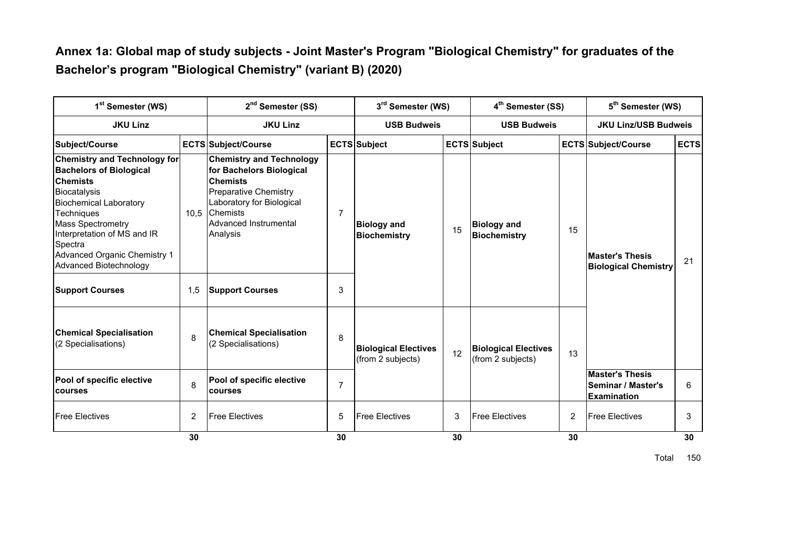#### **Annex 1a: Global map of study subjects - Joint Master's Program "Biological Chemistry" for graduates of the Bachelor's program "Biological Chemistry" (variant B) (2020)**

| 1 <sup>st</sup> Semester (WS)<br><b>JKU Linz</b>                                                                                                                                                                                                                                               |                | 2 <sup>nd</sup> Semester (SS)<br><b>JKU Linz</b>                                                                                                                                                    |                | 3 <sup>rd</sup> Semester (WS)<br><b>USB Budweis</b> |    | 4 <sup>th</sup> Semester (SS)<br><b>USB Budweis</b> |    | 5 <sup>th</sup> Semester (WS)<br><b>JKU Linz/USB Budweis</b>       |    |
|------------------------------------------------------------------------------------------------------------------------------------------------------------------------------------------------------------------------------------------------------------------------------------------------|----------------|-----------------------------------------------------------------------------------------------------------------------------------------------------------------------------------------------------|----------------|-----------------------------------------------------|----|-----------------------------------------------------|----|--------------------------------------------------------------------|----|
|                                                                                                                                                                                                                                                                                                |                |                                                                                                                                                                                                     |                |                                                     |    |                                                     |    |                                                                    |    |
| <b>Chemistry and Technology for</b><br><b>Bachelors of Biological</b><br><b>Chemists</b><br>Biocatalysis<br><b>Biochemical Laboratory</b><br><b>Techniques</b><br><b>Mass Spectrometry</b><br>Interpretation of MS and IR<br>Spectra<br>Advanced Organic Chemistry 1<br>Advanced Biotechnology | 10.5           | <b>Chemistry and Technology</b><br>for Bachelors Biological<br><b>Chemists</b><br><b>Preparative Chemistry</b><br>Laboratory for Biological<br><b>Chemists</b><br>Advanced Instrumental<br>Analysis | 7              | <b>Biology and</b><br><b>Biochemistry</b>           | 15 | <b>Biology and</b><br>Biochemistry                  | 15 | <b>Master's Thesis</b><br><b>Biological Chemistry</b>              | 21 |
| <b>Support Courses</b>                                                                                                                                                                                                                                                                         | 1,5            | <b>Support Courses</b>                                                                                                                                                                              | 3              |                                                     |    |                                                     |    |                                                                    |    |
| <b>Chemical Specialisation</b><br>(2 Specialisations)                                                                                                                                                                                                                                          | 8              | <b>Chemical Specialisation</b><br>(2 Specialisations)                                                                                                                                               | 8              | <b>Biological Electives</b><br>(from 2 subjects)    | 12 | <b>Biological Electives</b><br>(from 2 subjects)    | 13 |                                                                    |    |
| Pool of specific elective<br><b>courses</b>                                                                                                                                                                                                                                                    | 8              | Pool of specific elective<br><b>courses</b>                                                                                                                                                         | $\overline{7}$ |                                                     |    |                                                     |    | <b>Master's Thesis</b><br>Seminar / Master's<br><b>Examination</b> | 6  |
| <b>Free Electives</b>                                                                                                                                                                                                                                                                          | $\overline{2}$ | <b>Free Electives</b>                                                                                                                                                                               | 5              | <b>Free Electives</b>                               | 3  | <b>Free Electives</b>                               | 2  | <b>Free Electives</b>                                              | 3  |
|                                                                                                                                                                                                                                                                                                | 30             |                                                                                                                                                                                                     | 30             |                                                     | 30 |                                                     | 30 |                                                                    | 30 |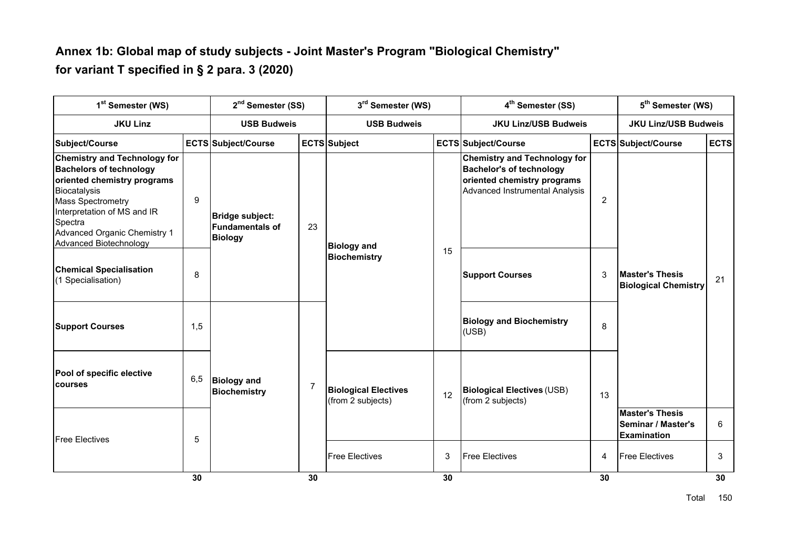#### **Annex 1b: Global map of study subjects - Joint Master's Program "Biological Chemistry" for variant T specified in § 2 para. 3 (2020)**

| 1 <sup>st</sup> Semester (WS)                                                                                                                                                                                                                        |     | 2 <sup>nd</sup> Semester (SS)                                            |                | 3rd Semester (WS)                                |                       | 4 <sup>th</sup> Semester (SS)                                                                                                           | 5 <sup>th</sup> Semester (WS) |                                                                    |             |
|------------------------------------------------------------------------------------------------------------------------------------------------------------------------------------------------------------------------------------------------------|-----|--------------------------------------------------------------------------|----------------|--------------------------------------------------|-----------------------|-----------------------------------------------------------------------------------------------------------------------------------------|-------------------------------|--------------------------------------------------------------------|-------------|
| <b>JKU Linz</b>                                                                                                                                                                                                                                      |     | <b>USB Budweis</b>                                                       |                | <b>USB Budweis</b>                               |                       | <b>JKU Linz/USB Budweis</b>                                                                                                             |                               | <b>JKU Linz/USB Budweis</b>                                        |             |
| Subject/Course                                                                                                                                                                                                                                       |     | ECTS Subject/Course                                                      |                | ECTS Subject                                     |                       | <b>ECTS Subject/Course</b>                                                                                                              |                               | <b>ECTS Subject/Course</b>                                         | <b>ECTS</b> |
| <b>Chemistry and Technology for</b><br><b>Bachelors of technology</b><br>oriented chemistry programs<br>Biocatalysis<br><b>Mass Spectrometry</b><br>Interpretation of MS and IR<br>Spectra<br>Advanced Organic Chemistry 1<br>Advanced Biotechnology | 9   | <b>Bridge subject:</b><br><b>Fundamentals of</b><br>23<br><b>Biology</b> |                | <b>Biology and</b>                               |                       | <b>Chemistry and Technology for</b><br><b>Bachelor's of technology</b><br>oriented chemistry programs<br>Advanced Instrumental Analysis | 2                             |                                                                    |             |
| <b>Chemical Specialisation</b><br>(1 Specialisation)                                                                                                                                                                                                 | 8   |                                                                          |                | <b>Biochemistry</b>                              | 15                    | <b>Support Courses</b>                                                                                                                  | 3                             | <b>Master's Thesis</b><br><b>Biological Chemistry</b>              | 21          |
| <b>Support Courses</b>                                                                                                                                                                                                                               | 1,5 |                                                                          |                |                                                  |                       | <b>Biology and Biochemistry</b><br>(USB)                                                                                                | 8                             |                                                                    |             |
| Pool of specific elective<br>courses                                                                                                                                                                                                                 | 6,5 | <b>Biology and</b><br><b>Biochemistry</b>                                | $\overline{7}$ | <b>Biological Electives</b><br>(from 2 subjects) | 12                    | <b>Biological Electives (USB)</b><br>(from 2 subjects)                                                                                  | 13                            |                                                                    |             |
| <b>Free Electives</b>                                                                                                                                                                                                                                | 5   |                                                                          |                |                                                  |                       |                                                                                                                                         |                               | <b>Master's Thesis</b><br>Seminar / Master's<br><b>Examination</b> | 6           |
|                                                                                                                                                                                                                                                      |     |                                                                          |                | 3<br><b>Free Electives</b>                       | <b>Free Electives</b> | 4                                                                                                                                       | <b>Free Electives</b>         | 3                                                                  |             |
|                                                                                                                                                                                                                                                      | 30  |                                                                          | 30             |                                                  | 30                    |                                                                                                                                         | 30                            |                                                                    | 30          |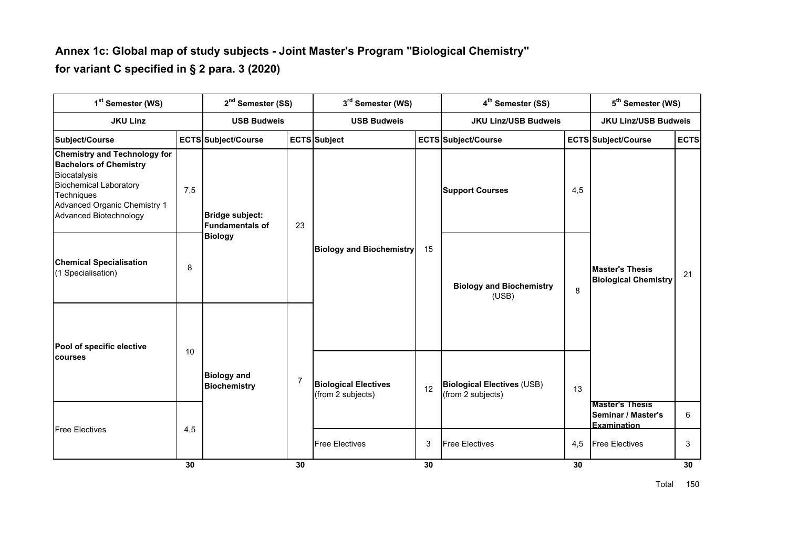#### **Annex 1c: Global map of study subjects - Joint Master's Program "Biological Chemistry" for variant C specified in § 2 para. 3 (2020)**

| 1 <sup>st</sup> Semester (WS)                                                                                                                                                                        |     | 2 <sup>nd</sup> Semester (SS)                               |                                                            | 3rd Semester (WS)                                |    | 4 <sup>th</sup> Semester (SS)                          |     | 5 <sup>th</sup> Semester (WS)                               |             |
|------------------------------------------------------------------------------------------------------------------------------------------------------------------------------------------------------|-----|-------------------------------------------------------------|------------------------------------------------------------|--------------------------------------------------|----|--------------------------------------------------------|-----|-------------------------------------------------------------|-------------|
| <b>JKU Linz</b>                                                                                                                                                                                      |     | <b>USB Budweis</b>                                          |                                                            | <b>USB Budweis</b>                               |    | <b>JKU Linz/USB Budweis</b>                            |     | <b>JKU Linz/USB Budweis</b>                                 |             |
| Subject/Course                                                                                                                                                                                       |     | ECTS Subject/Course                                         |                                                            | <b>ECTS</b> Subject                              |    | <b>ECTS Subject/Course</b>                             |     | <b>ECTS Subject/Course</b>                                  | <b>ECTS</b> |
| <b>Chemistry and Technology for</b><br><b>Bachelors of Chemistry</b><br>Biocatalysis<br><b>Biochemical Laboratory</b><br>Techniques<br>Advanced Organic Chemistry 1<br><b>Advanced Biotechnology</b> | 7,5 | Bridge subject:<br><b>Fundamentals of</b><br><b>Biology</b> | 23                                                         | <b>Biology and Biochemistry</b>                  | 15 | <b>Support Courses</b>                                 | 4,5 | <b>Master's Thesis</b><br><b>Biological Chemistry</b>       | 21          |
| <b>Chemical Specialisation</b><br>(1 Specialisation)                                                                                                                                                 | 8   |                                                             |                                                            |                                                  |    | <b>Biology and Biochemistry</b><br>(USB)               | 8   |                                                             |             |
| Pool of specific elective<br><b>courses</b>                                                                                                                                                          | 10  |                                                             |                                                            |                                                  |    |                                                        |     |                                                             |             |
|                                                                                                                                                                                                      |     | <b>Biology and</b><br><b>Biochemistry</b>                   | $\overline{7}$                                             | <b>Biological Electives</b><br>(from 2 subjects) | 12 | <b>Biological Electives (USB)</b><br>(from 2 subjects) | 13  |                                                             |             |
| <b>Free Electives</b>                                                                                                                                                                                | 4,5 |                                                             |                                                            |                                                  |    |                                                        |     | <b>Master's Thesis</b><br>Seminar / Master's<br>Examination | 6           |
|                                                                                                                                                                                                      |     |                                                             | 3<br><b>Free Electives</b><br><b>Free Electives</b><br>4,5 | <b>Free Electives</b>                            | 3  |                                                        |     |                                                             |             |
|                                                                                                                                                                                                      | 30  |                                                             | 30                                                         |                                                  | 30 |                                                        | 30  |                                                             | 30          |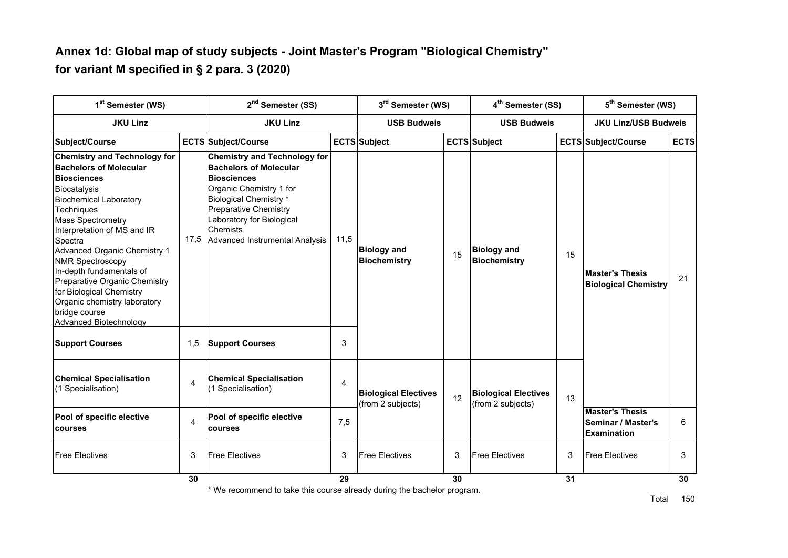#### **Annex 1d: Global map of study subjects - Joint Master's Program "Biological Chemistry" for variant M specified in § 2 para. 3 (2020)**

| 1 <sup>st</sup> Semester (WS)<br><b>JKU Linz</b>                                                                                                                                                                                                                                                                                                                                                                                                                      |                | 2 <sup>nd</sup> Semester (SS)                                                                                                                                                                                                                              | 3rd Semester (WS)  |                                                  | 4 <sup>th</sup> Semester (SS) |                                                  | 5 <sup>th</sup> Semester (WS) |                                                                    |             |
|-----------------------------------------------------------------------------------------------------------------------------------------------------------------------------------------------------------------------------------------------------------------------------------------------------------------------------------------------------------------------------------------------------------------------------------------------------------------------|----------------|------------------------------------------------------------------------------------------------------------------------------------------------------------------------------------------------------------------------------------------------------------|--------------------|--------------------------------------------------|-------------------------------|--------------------------------------------------|-------------------------------|--------------------------------------------------------------------|-------------|
|                                                                                                                                                                                                                                                                                                                                                                                                                                                                       |                | <b>JKU Linz</b>                                                                                                                                                                                                                                            | <b>USB Budweis</b> |                                                  | <b>USB Budweis</b>            |                                                  | <b>JKU Linz/USB Budweis</b>   |                                                                    |             |
| Subject/Course                                                                                                                                                                                                                                                                                                                                                                                                                                                        |                | ECTS Subject/Course                                                                                                                                                                                                                                        |                    | <b>ECTS</b> Subject                              |                               | <b>ECTS</b> Subject                              |                               | <b>ECTS Subject/Course</b>                                         | <b>ECTS</b> |
| <b>Chemistry and Technology for</b><br><b>Bachelors of Molecular</b><br><b>Biosciences</b><br><b>Biocatalysis</b><br><b>Biochemical Laboratory</b><br>Techniques<br><b>Mass Spectrometry</b><br>Interpretation of MS and IR<br>Spectra<br>Advanced Organic Chemistry 1<br><b>NMR Spectroscopy</b><br>In-depth fundamentals of<br>Preparative Organic Chemistry<br>for Biological Chemistry<br>Organic chemistry laboratory<br>bridge course<br>Advanced Biotechnology | 17,5           | <b>Chemistry and Technology for</b><br><b>Bachelors of Molecular</b><br><b>Biosciences</b><br>Organic Chemistry 1 for<br><b>Biological Chemistry *</b><br>Preparative Chemistry<br>Laboratory for Biological<br>Chemists<br>Advanced Instrumental Analysis | 11,5               | <b>Biology and</b><br><b>Biochemistry</b>        | 15                            | <b>Biology and</b><br><b>Biochemistry</b>        | 15                            | <b>Master's Thesis</b><br><b>Biological Chemistry</b>              | 21          |
| <b>Support Courses</b>                                                                                                                                                                                                                                                                                                                                                                                                                                                | 1,5            | <b>Support Courses</b>                                                                                                                                                                                                                                     | 3                  |                                                  |                               |                                                  |                               |                                                                    |             |
| <b>Chemical Specialisation</b><br>(1 Specialisation)                                                                                                                                                                                                                                                                                                                                                                                                                  | $\overline{4}$ | <b>Chemical Specialisation</b><br>(1 Specialisation)                                                                                                                                                                                                       | 4                  | <b>Biological Electives</b><br>(from 2 subjects) | 12                            | <b>Biological Electives</b><br>(from 2 subjects) | 13                            |                                                                    |             |
| Pool of specific elective<br><b>courses</b>                                                                                                                                                                                                                                                                                                                                                                                                                           | $\overline{4}$ | Pool of specific elective<br>courses                                                                                                                                                                                                                       | 7,5                |                                                  |                               |                                                  |                               | <b>Master's Thesis</b><br>Seminar / Master's<br><b>Examination</b> | 6           |
| <b>Free Electives</b>                                                                                                                                                                                                                                                                                                                                                                                                                                                 | 3              | <b>Free Electives</b>                                                                                                                                                                                                                                      | 3                  | <b>Free Electives</b>                            | 3                             | <b>Free Electives</b>                            | 3                             | <b>Free Electives</b>                                              | 3           |
|                                                                                                                                                                                                                                                                                                                                                                                                                                                                       | 30             |                                                                                                                                                                                                                                                            | 29                 |                                                  | 30                            |                                                  | 31                            |                                                                    | 30          |

\* We recommend to take this course already during the bachelor program.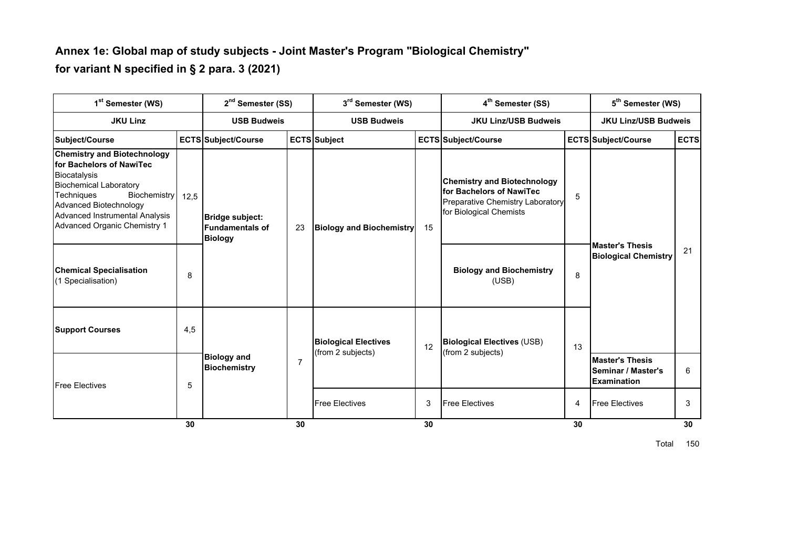#### **Annex 1e: Global map of study subjects - Joint Master's Program "Biological Chemistry" for variant N specified in § 2 para. 3 (2021)**

| 1 <sup>st</sup> Semester (WS)                                                                                                                                                                                                                    |      | 2 <sup>nd</sup> Semester (SS)                                     |                | 3 <sup>rd</sup> Semester (WS)   |                                 | 4 <sup>th</sup> Semester (SS)                                                                                                 |                                                                                                                                                                                                                 | 5 <sup>th</sup> Semester (WS) |             |
|--------------------------------------------------------------------------------------------------------------------------------------------------------------------------------------------------------------------------------------------------|------|-------------------------------------------------------------------|----------------|---------------------------------|---------------------------------|-------------------------------------------------------------------------------------------------------------------------------|-----------------------------------------------------------------------------------------------------------------------------------------------------------------------------------------------------------------|-------------------------------|-------------|
| <b>JKU Linz</b>                                                                                                                                                                                                                                  |      | <b>USB Budweis</b>                                                |                | <b>USB Budweis</b>              |                                 | <b>JKU Linz/USB Budweis</b>                                                                                                   | <b>JKU Linz/USB Budweis</b><br><b>ECTS Subject/Course</b><br>5<br><b>Master's Thesis</b><br>8<br>(USE)<br>13<br>(from 2 subjects)<br><b>Master's Thesis</b><br><b>Examination</b><br><b>Free Electives</b><br>4 |                               |             |
| Subject/Course                                                                                                                                                                                                                                   |      | <b>ECTS Subject/Course</b>                                        |                | <b>ECTS</b> Subject             |                                 | <b>ECTS Subject/Course</b>                                                                                                    |                                                                                                                                                                                                                 |                               | <b>ECTS</b> |
| <b>Chemistry and Biotechnology</b><br>for Bachelors of NawiTec<br>Biocatalysis<br><b>Biochemical Laboratory</b><br>Techniques<br>Biochemistry<br>Advanced Biotechnology<br>Advanced Instrumental Analysis<br><b>Advanced Organic Chemistry 1</b> | 12,5 | Bridge subject:<br><b>Fundamentals of</b><br>23<br><b>Biology</b> |                | <b>Biology and Biochemistry</b> | 15                              | <b>Chemistry and Biotechnology</b><br>for Bachelors of NawiTec<br>Preparative Chemistry Laboratory<br>for Biological Chemists |                                                                                                                                                                                                                 |                               |             |
| <b>Chemical Specialisation</b><br>(1 Specialisation)                                                                                                                                                                                             | 8    |                                                                   |                |                                 | <b>Biology and Biochemistry</b> |                                                                                                                               | <b>Biological Chemistry</b>                                                                                                                                                                                     | 21                            |             |
| <b>Support Courses</b>                                                                                                                                                                                                                           | 4,5  |                                                                   |                | <b>Biological Electives</b>     | 12                              | <b>Biological Electives (USB)</b>                                                                                             |                                                                                                                                                                                                                 |                               |             |
| <b>Free Electives</b>                                                                                                                                                                                                                            | 5    | <b>Biology and</b><br><b>Biochemistry</b>                         | $\overline{7}$ | (from 2 subjects)               |                                 |                                                                                                                               |                                                                                                                                                                                                                 | Seminar / Master's            | 6           |
|                                                                                                                                                                                                                                                  |      |                                                                   |                | <b>Free Electives</b>           | 3                               | <b>Free Electives</b>                                                                                                         |                                                                                                                                                                                                                 |                               | 3           |
|                                                                                                                                                                                                                                                  | 30   |                                                                   | 30             |                                 | 30                              |                                                                                                                               | 30                                                                                                                                                                                                              |                               | 30          |

Total 150